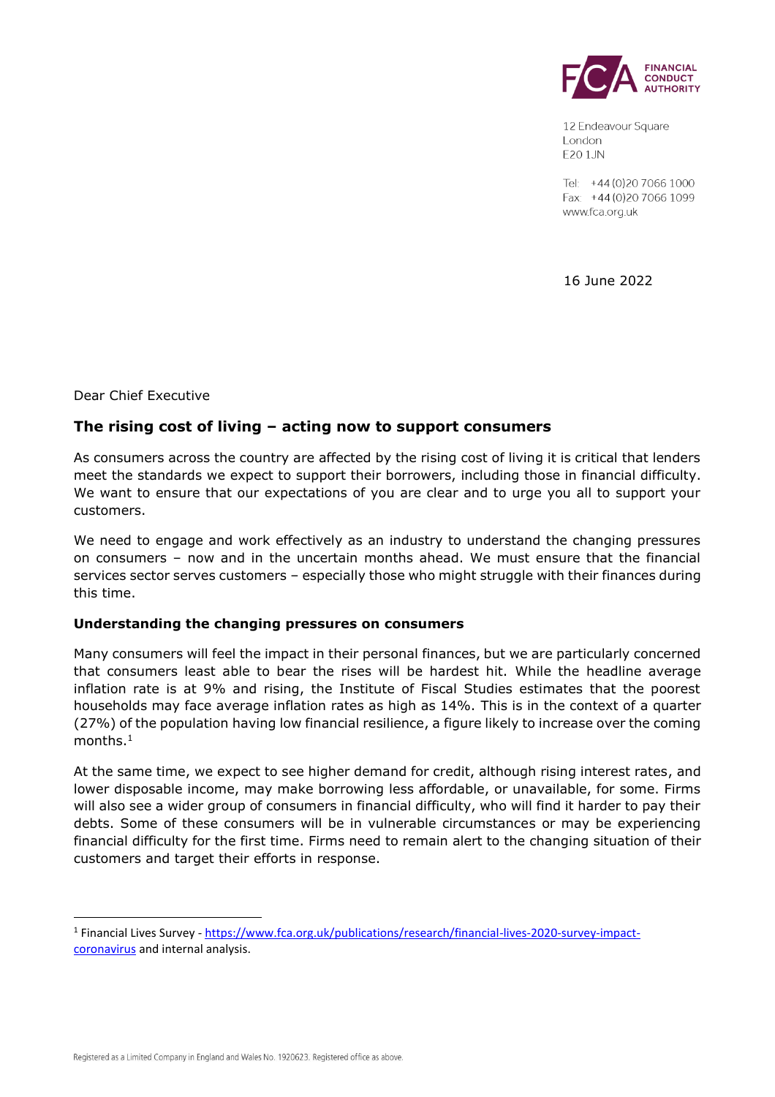

12 Endeavour Square London **E20 1JN** 

Tel: +44 (0) 20 7066 1000 Fax: +44 (0) 20 7066 1099 www.fca.org.uk

16 June 2022

Dear Chief Executive

# **The rising cost of living – acting now to support consumers**

As consumers across the country are affected by the rising cost of living it is critical that lenders meet the standards we expect to support their borrowers, including those in financial difficulty. We want to ensure that our expectations of you are clear and to urge you all to support your customers.

We need to engage and work effectively as an industry to understand the changing pressures on consumers – now and in the uncertain months ahead. We must ensure that the financial services sector serves customers – especially those who might struggle with their finances during this time.

#### **Understanding the changing pressures on consumers**

Many consumers will feel the impact in their personal finances, but we are particularly concerned that consumers least able to bear the rises will be hardest hit. While the headline average inflation rate is at 9% and rising, the Institute of Fiscal Studies estimates that the poorest households may face average inflation rates as high as 14%. This is in the context of a quarter (27%) of the population having low financial resilience, a figure likely to increase over the coming months. $^{\rm 1}$ 

At the same time, we expect to see higher demand for credit, although rising interest rates, and lower disposable income, may make borrowing less affordable, or unavailable, for some. Firms will also see a wider group of consumers in financial difficulty, who will find it harder to pay their debts. Some of these consumers will be in vulnerable circumstances or may be experiencing financial difficulty for the first time. Firms need to remain alert to the changing situation of their customers and target their efforts in response.

<sup>&</sup>lt;sup>1</sup> Financial Lives Survey - [https://www.fca.org.uk/publications/research/financial-lives-2020-survey-impact](https://www.fca.org.uk/publications/research/financial-lives-2020-survey-impact-coronavirus)[coronavirus](https://www.fca.org.uk/publications/research/financial-lives-2020-survey-impact-coronavirus) and internal analysis.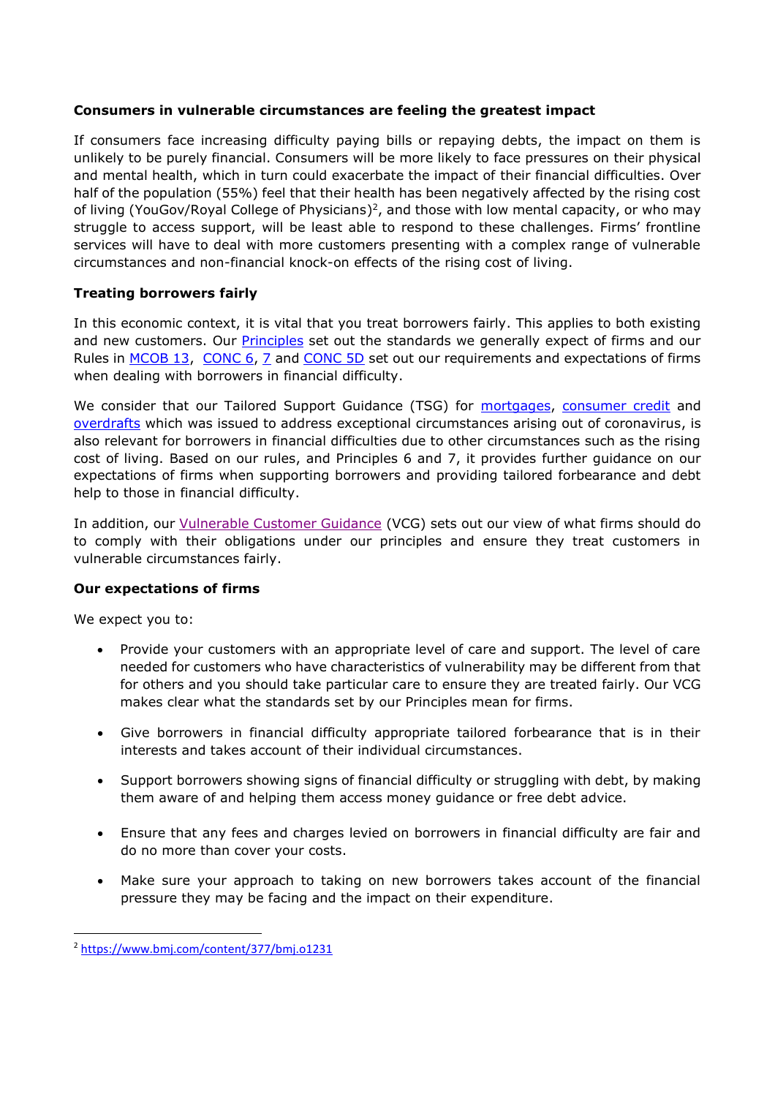## **Consumers in vulnerable circumstances are feeling the greatest impact**

If consumers face increasing difficulty paying bills or repaying debts, the impact on them is unlikely to be purely financial. Consumers will be more likely to face pressures on their physical and mental health, which in turn could exacerbate the impact of their financial difficulties. Over half of the population (55%) feel that their health has been negatively affected by the rising cost of living (YouGov/Royal College of Physicians)<sup>2</sup>, and those with low mental capacity, or who may struggle to access support, will be least able to respond to these challenges. Firms' frontline services will have to deal with more customers presenting with a complex range of vulnerable circumstances and non-financial knock-on effects of the rising cost of living.

# **Treating borrowers fairly**

In this economic context, it is vital that you treat borrowers fairly. This applies to both existing and new customers. Our **Principles** set out the standards we generally expect of firms and our Rules in [MCOB 13,](https://www.handbook.fca.org.uk/handbook/MCOB/13/?view=chapter) [CONC 6,](https://www.handbook.fca.org.uk/handbook/CONC/6/?view=chapter) [7](https://www.handbook.fca.org.uk/handbook/CONC/7/?view=chapter) and [CONC 5D](https://www.handbook.fca.org.uk/handbook/CONC/5D/?view=chapter) set out our requirements and expectations of firms when dealing with borrowers in financial difficulty.

We consider that our Tailored Support Guidance (TSG) for [mortgages,](https://www.fca.org.uk/publication/finalised-guidance/mortgages-and-coronavirus-tailored-support-guidance.pdf) [consumer credit](https://www.fca.org.uk/publication/finalised-guidance/consumer-credit-coronavirus-tailored-support-guidance-jan-2021.pdf) and [overdrafts](https://www.fca.org.uk/publication/finalised-guidance/finalised-guidance-overdrafts-coronavirus-additional-guidance-firms.pdf) which was issued to address exceptional circumstances arising out of coronavirus, is also relevant for borrowers in financial difficulties due to other circumstances such as the rising cost of living. Based on our rules, and Principles 6 and 7, it provides further guidance on our expectations of firms when supporting borrowers and providing tailored forbearance and debt help to those in financial difficulty.

In addition, our [Vulnerable Customer Guidance](https://www.fca.org.uk/publications/finalised-guidance/guidance-firms-fair-treatment-vulnerable-customers) (VCG) sets out our view of what firms should do to comply with their obligations under our principles and ensure they treat customers in vulnerable circumstances fairly.

## **Our expectations of firms**

We expect you to:

- Provide your customers with an appropriate level of care and support. The level of care needed for customers who have characteristics of vulnerability may be different from that for others and you should take particular care to ensure they are treated fairly. Our VCG makes clear what the standards set by our Principles mean for firms.
- Give borrowers in financial difficulty appropriate tailored forbearance that is in their interests and takes account of their individual circumstances.
- Support borrowers showing signs of financial difficulty or struggling with debt, by making them aware of and helping them access money guidance or free debt advice.
- Ensure that any fees and charges levied on borrowers in financial difficulty are fair and do no more than cover your costs.
- Make sure your approach to taking on new borrowers takes account of the financial pressure they may be facing and the impact on their expenditure.

<sup>2</sup> <https://www.bmj.com/content/377/bmj.o1231>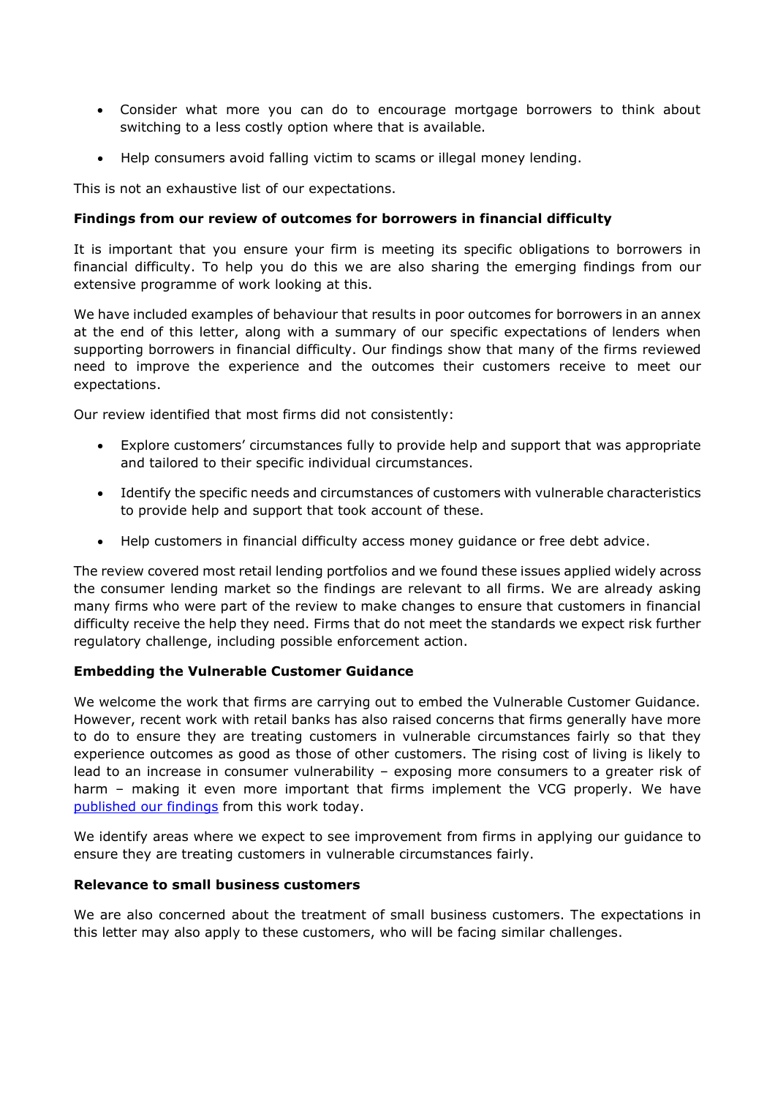- Consider what more you can do to encourage mortgage borrowers to think about switching to a less costly option where that is available.
- Help consumers avoid falling victim to scams or illegal money lending.

This is not an exhaustive list of our expectations.

### **Findings from our review of outcomes for borrowers in financial difficulty**

It is important that you ensure your firm is meeting its specific obligations to borrowers in financial difficulty. To help you do this we are also sharing the emerging findings from our extensive programme of work looking at this.

We have included examples of behaviour that results in poor outcomes for borrowers in an annex at the end of this letter, along with a summary of our specific expectations of lenders when supporting borrowers in financial difficulty. Our findings show that many of the firms reviewed need to improve the experience and the outcomes their customers receive to meet our expectations.

Our review identified that most firms did not consistently:

- Explore customers' circumstances fully to provide help and support that was appropriate and tailored to their specific individual circumstances.
- Identify the specific needs and circumstances of customers with vulnerable characteristics to provide help and support that took account of these.
- Help customers in financial difficulty access money guidance or free debt advice.

The review covered most retail lending portfolios and we found these issues applied widely across the consumer lending market so the findings are relevant to all firms. We are already asking many firms who were part of the review to make changes to ensure that customers in financial difficulty receive the help they need. Firms that do not meet the standards we expect risk further regulatory challenge, including possible enforcement action.

#### **Embedding the Vulnerable Customer Guidance**

We welcome the work that firms are carrying out to embed the Vulnerable Customer Guidance. However, recent work with retail banks has also raised concerns that firms generally have more to do to ensure they are treating customers in vulnerable circumstances fairly so that they experience outcomes as good as those of other customers. The rising cost of living is likely to lead to an increase in consumer vulnerability – exposing more consumers to a greater risk of harm – making it even more important that firms implement the VCG properly. We have [published our findings](https://www.fca.org.uk/firms/treating-vulnerable-consumers-fairly/ensuring-fair-treatment) from this work today.

We identify areas where we expect to see improvement from firms in applying our guidance to ensure they are treating customers in vulnerable circumstances fairly.

#### **Relevance to small business customers**

We are also concerned about the treatment of small business customers. The expectations in this letter may also apply to these customers, who will be facing similar challenges.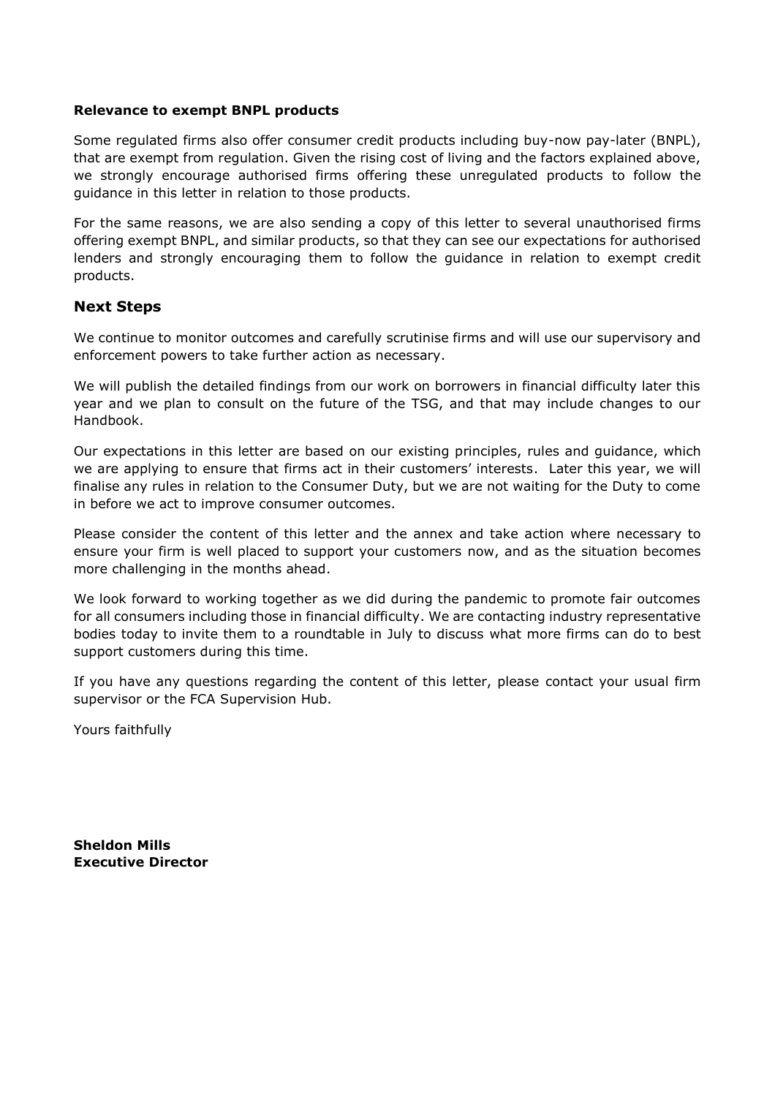#### **Relevance to exempt BNPL products**

Some regulated firms also offer consumer credit products including buy-now pay-later (BNPL), that are exempt from regulation. Given the rising cost of living and the factors explained above, we strongly encourage authorised firms offering these unregulated products to follow the guidance in this letter in relation to those products.

For the same reasons, we are also sending a copy of this letter to several unauthorised firms offering exempt BNPL, and similar products, so that they can see our expectations for authorised lenders and strongly encouraging them to follow the guidance in relation to exempt credit products.

# **Next Steps**

We continue to monitor outcomes and carefully scrutinise firms and will use our supervisory and enforcement powers to take further action as necessary.

We will publish the detailed findings from our work on borrowers in financial difficulty later this year and we plan to consult on the future of the TSG, and that may include changes to our Handbook.

Our expectations in this letter are based on our existing principles, rules and guidance, which we are applying to ensure that firms act in their customers' interests. Later this year, we will finalise any rules in relation to the Consumer Duty, but we are not waiting for the Duty to come in before we act to improve consumer outcomes.

Please consider the content of this letter and the annex and take action where necessary to ensure your firm is well placed to support your customers now, and as the situation becomes more challenging in the months ahead.

We look forward to working together as we did during the pandemic to promote fair outcomes for all consumers including those in financial difficulty. We are contacting industry representative bodies today to invite them to a roundtable in July to discuss what more firms can do to best support customers during this time.

If you have any questions regarding the content of this letter, please contact your usual firm supervisor or the FCA Supervision Hub.

Yours faithfully

**Sheldon Mills Executive Director**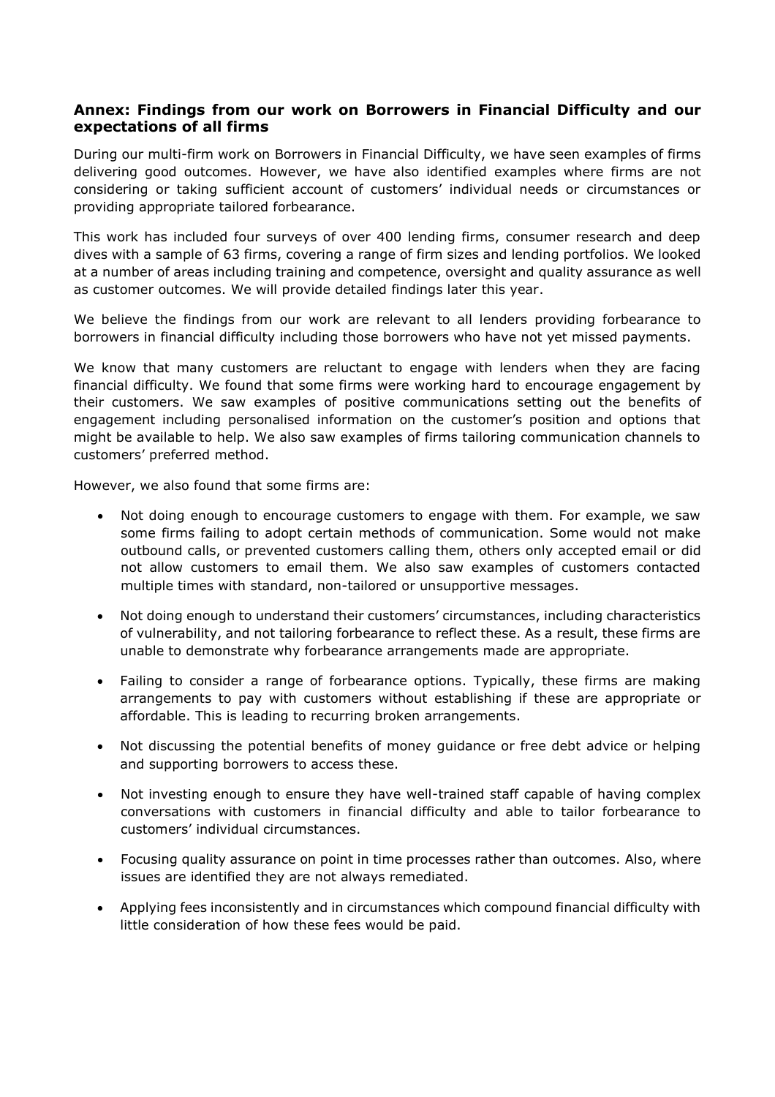## **Annex: Findings from our work on Borrowers in Financial Difficulty and our expectations of all firms**

During our multi-firm work on Borrowers in Financial Difficulty, we have seen examples of firms delivering good outcomes. However, we have also identified examples where firms are not considering or taking sufficient account of customers' individual needs or circumstances or providing appropriate tailored forbearance.

This work has included four surveys of over 400 lending firms, consumer research and deep dives with a sample of 63 firms, covering a range of firm sizes and lending portfolios. We looked at a number of areas including training and competence, oversight and quality assurance as well as customer outcomes. We will provide detailed findings later this year.

We believe the findings from our work are relevant to all lenders providing forbearance to borrowers in financial difficulty including those borrowers who have not yet missed payments.

We know that many customers are reluctant to engage with lenders when they are facing financial difficulty. We found that some firms were working hard to encourage engagement by their customers. We saw examples of positive communications setting out the benefits of engagement including personalised information on the customer's position and options that might be available to help. We also saw examples of firms tailoring communication channels to customers' preferred method.

However, we also found that some firms are:

- Not doing enough to encourage customers to engage with them. For example, we saw some firms failing to adopt certain methods of communication. Some would not make outbound calls, or prevented customers calling them, others only accepted email or did not allow customers to email them. We also saw examples of customers contacted multiple times with standard, non-tailored or unsupportive messages.
- Not doing enough to understand their customers' circumstances, including characteristics of vulnerability, and not tailoring forbearance to reflect these. As a result, these firms are unable to demonstrate why forbearance arrangements made are appropriate.
- Failing to consider a range of forbearance options. Typically, these firms are making arrangements to pay with customers without establishing if these are appropriate or affordable. This is leading to recurring broken arrangements.
- Not discussing the potential benefits of money guidance or free debt advice or helping and supporting borrowers to access these.
- Not investing enough to ensure they have well-trained staff capable of having complex conversations with customers in financial difficulty and able to tailor forbearance to customers' individual circumstances.
- Focusing quality assurance on point in time processes rather than outcomes. Also, where issues are identified they are not always remediated.
- Applying fees inconsistently and in circumstances which compound financial difficulty with little consideration of how these fees would be paid.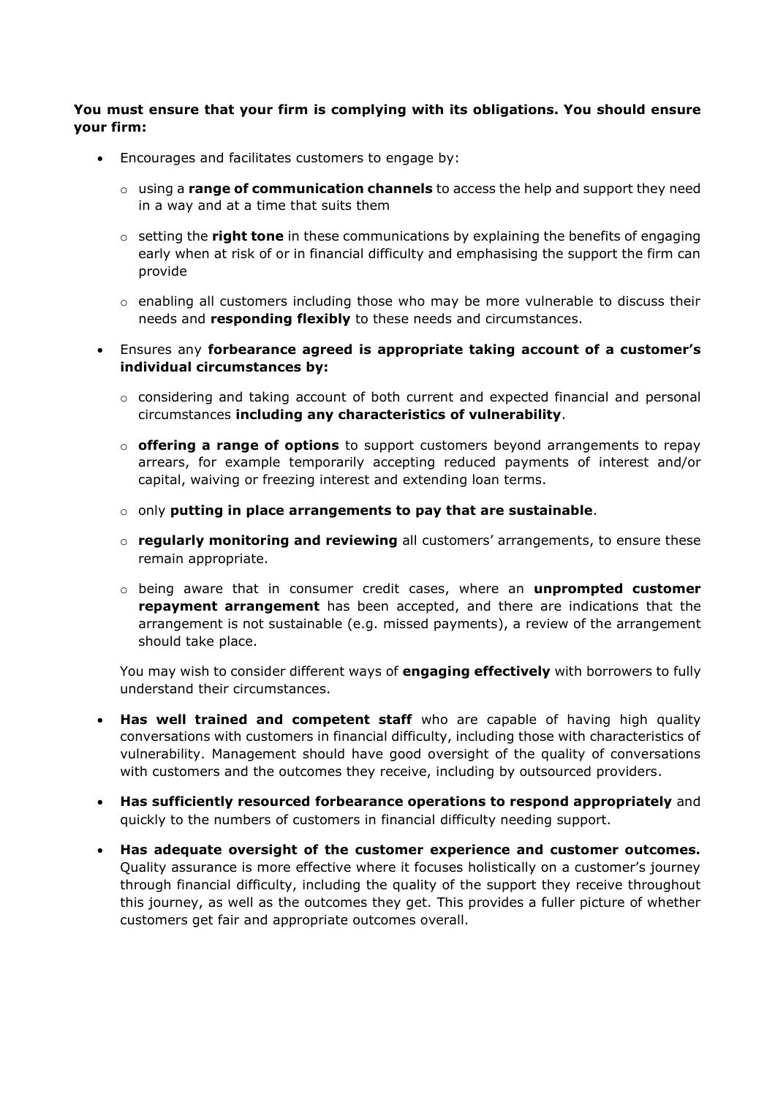### **You must ensure that your firm is complying with its obligations. You should ensure your firm:**

- Encourages and facilitates customers to engage by:
	- o using a **range of communication channels** to access the help and support they need in a way and at a time that suits them
	- o setting the **right tone** in these communications by explaining the benefits of engaging early when at risk of or in financial difficulty and emphasising the support the firm can provide
	- $\circ$  enabling all customers including those who may be more vulnerable to discuss their needs and **responding flexibly** to these needs and circumstances.
- Ensures any **forbearance agreed is appropriate taking account of a customer's individual circumstances by:**
	- $\circ$  considering and taking account of both current and expected financial and personal circumstances **including any characteristics of vulnerability**.
	- o **offering a range of options** to support customers beyond arrangements to repay arrears, for example temporarily accepting reduced payments of interest and/or capital, waiving or freezing interest and extending loan terms.
	- o only **putting in place arrangements to pay that are sustainable**.
	- o **regularly monitoring and reviewing** all customers' arrangements, to ensure these remain appropriate.
	- o being aware that in consumer credit cases, where an **unprompted customer repayment arrangement** has been accepted, and there are indications that the arrangement is not sustainable (e.g. missed payments), a review of the arrangement should take place.

You may wish to consider different ways of **engaging effectively** with borrowers to fully understand their circumstances.

- **Has well trained and competent staff** who are capable of having high quality conversations with customers in financial difficulty, including those with characteristics of vulnerability. Management should have good oversight of the quality of conversations with customers and the outcomes they receive, including by outsourced providers.
- **Has sufficiently resourced forbearance operations to respond appropriately** and quickly to the numbers of customers in financial difficulty needing support.
- **Has adequate oversight of the customer experience and customer outcomes.** Quality assurance is more effective where it focuses holistically on a customer's journey through financial difficulty, including the quality of the support they receive throughout this journey, as well as the outcomes they get. This provides a fuller picture of whether customers get fair and appropriate outcomes overall.